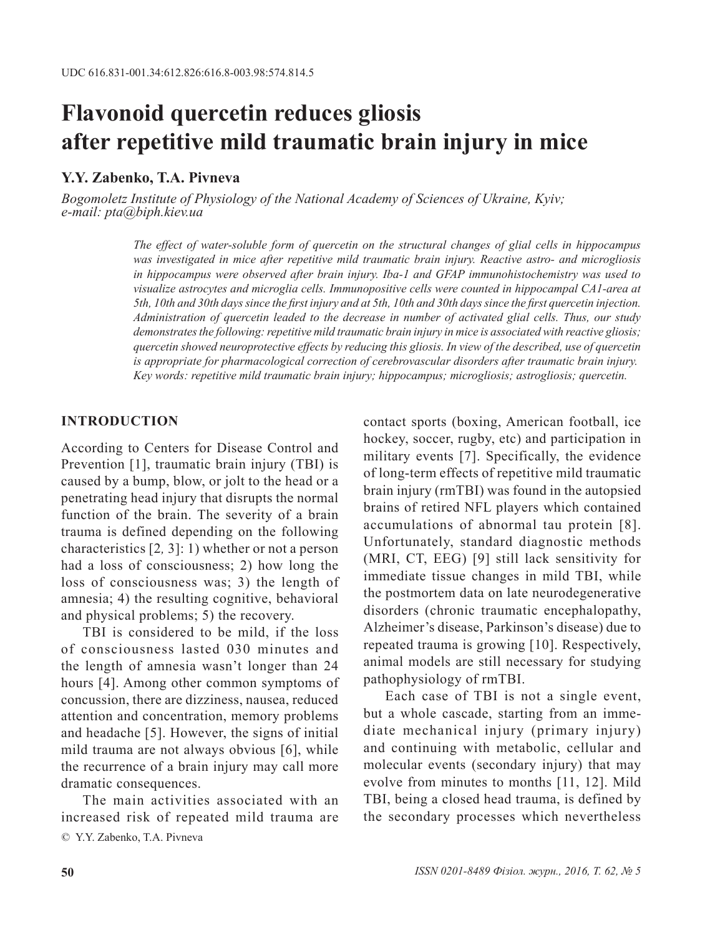# **Flavonoid quercetin reduces gliosis after repetitive mild traumatic brain injury in mice**

### **Y.Y. Zabenko, T.A. Pivneva**

*Bogomoletz Institute of Physiology of the National Academy of Sciences of Ukraine, Kyiv; e-mail: pta@biph.kiev.ua*

> *The effect of water-soluble form of quercetin on the structural changes of glial cells in hippocampus was investigated in mice after repetitive mild traumatic brain injury. Reactive astro- and microgliosis in hippocampus were observed after brain injury. Iba-1 and GFAP immunohistochemistry was used to visualize astrocytes and microglia cells. Immunopositive cells were counted in hippocampal CA1-area at 5th, 10th and 30th days since the first injury and at 5th, 10th and 30th days since the first quercetin injection. Administration of quercetin leaded to the decrease in number of activated glial cells. Thus, our study demonstrates the following: repetitive mild traumatic brain injury in mice is associated with reactive gliosis; quercetin showed neuroprotective effects by reducing this gliosis. In view of the described, use of quercetin is appropriate for pharmacological correction of cerebrovascular disorders after traumatic brain injury. Key words: repetitive mild traumatic brain injury; hippocampus; microgliosis; astrogliosis; quercetin.*

#### **INTRODUCTION**

According to Centers for Disease Control and Prevention [1], traumatic brain injury (TBI) is caused by a bump, blow, or jolt to the head or a penetrating head injury that disrupts the normal function of the brain. The severity of a brain trauma is defined depending on the following characteristics [2*,* 3]: 1) whether or not a person had a loss of consciousness; 2) how long the loss of consciousness was; 3) the length of amnesia; 4) the resulting cognitive, behavioral and physical problems; 5) the recovery.

TBI is considered to be mild, if the loss of consciousness lasted 030 minutes and the length of amnesia wasn't longer than 24 hours [4]. Among other common symptoms of concussion, there are dizziness, nausea, reduced attention and concentration, memory problems and headache [5]. However, the signs of initial mild trauma are not always obvious [6], while the recurrence of a brain injury may call more dramatic consequences.

© Y.Y. Zabenko, T.A. Pivneva The main activities associated with an increased risk of repeated mild trauma are contact sports (boxing, American football, ice hockey, soccer, rugby, etc) and participation in military events [7]. Specifically, the evidence of long-term effects of repetitive mild traumatic brain injury (rmTBI) was found in the autopsied brains of retired NFL players which contained accumulations of abnormal tau protein [8]. Unfortunately, standard diagnostic methods (MRI, CT, EEG) [9] still lack sensitivity for immediate tissue changes in mild TBI, while the postmortem data on late neurodegenerative disorders (chronic traumatic encephalopathy, Alzheimer's disease, Parkinson's disease) due to repeated trauma is growing [10]. Respectively, animal models are still necessary for studying pathophysiology of rmTBI.

Each case of TBI is not a single event, but a whole cascade, starting from an immediate mechanical injury (primary injury) and continuing with metabolic, cellular and molecular events (secondary injury) that may evolve from minutes to months [11, 12]. Mild TBI, being a closed head trauma, is defined by the secondary processes which nevertheless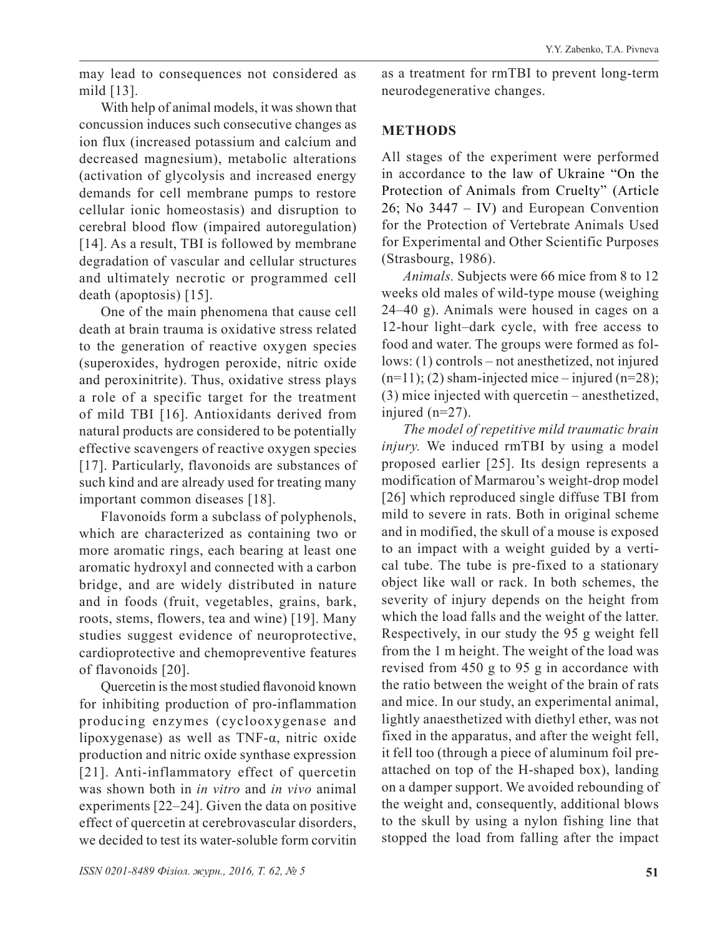may lead to consequences not considered as mild [13].

With help of animal models, it was shown that concussion induces such consecutive changes as ion flux (increased potassium and calcium and decreased magnesium), metabolic alterations (activation of glycolysis and increased energy demands for cell membrane pumps to restore cellular ionic homeostasis) and disruption to cerebral blood flow (impaired autoregulation) [14]. As a result, TBI is followed by membrane degradation of vascular and cellular structures and ultimately necrotic or programmed cell death (apoptosis) [15].

One of the main phenomena that cause cell death at brain trauma is oxidative stress related to the generation of reactive oxygen species (superoxides, hydrogen peroxide, nitric oxide and peroxinitrite). Thus, oxidative stress plays a role of a specific target for the treatment of mild TBI [16]. Antioxidants derived from natural products are considered to be potentially effective scavengers of reactive oxygen species [17]. Particularly, flavonoids are substances of such kind and are already used for treating many important common diseases [18].

Flavonoids form a subclass of polyphenols, which are characterized as containing two or more aromatic rings, each bearing at least one aromatic hydroxyl and connected with a carbon bridge, and are widely distributed in nature and in foods (fruit, vegetables, grains, bark, roots, stems, flowers, tea and wine) [19]. Many studies suggest evidence of neuroprotective, cardioprotective and chemopreventive features of flavonoids [20].

Quercetin is the most studied flavonoid known for inhibiting production of pro-inflammation producing enzymes (cyclooxygenase and lipoxygenase) as well as TNF-α, nitric oxide production and nitric oxide synthase expression [21]. Anti-inflammatory effect of quercetin was shown both in *in vitro* and *in vivo* animal experiments [22–24]. Given the data on positive effect of quercetin at cerebrovascular disorders, we decided to test its water-soluble form corvitin as a treatment for rmTBI to prevent long-term neurodegenerative changes.

# **METHODS**

All stages of the experiment were performed in accordance to the law of Ukraine "On the Protection of Animals from Cruelty" (Article 26; No 3447 – IV) and European Convention for the Protection of Vertebrate Animals Used for Experimental and Other Scientific Purposes (Strasbourg, 1986).

*Animals.* Subjects were 66 mice from 8 to 12 weeks old males of wild-type mouse (weighing 24–40 g). Animals were housed in cages on a 12-hour light–dark cycle, with free access to food and water. The groups were formed as follows: (1) controls – not anesthetized, not injured  $(n=11)$ ; (2) sham-injected mice – injured  $(n=28)$ ; (3) mice injected with quercetin – anesthetized, injured (n=27).

*The model of repetitive mild traumatic brain injury*. We induced rmTBI by using a model proposed earlier [25]. Its design represents a modification of Marmarou's weight-drop model [26] which reproduced single diffuse TBI from mild to severe in rats. Both in original scheme and in modified, the skull of a mouse is exposed to an impact with a weight guided by a vertical tube. The tube is pre-fixed to a stationary object like wall or rack. In both schemes, the severity of injury depends on the height from which the load falls and the weight of the latter. Respectively, in our study the 95 g weight fell from the 1 m height. The weight of the load was revised from 450 g to 95 g in accordance with the ratio between the weight of the brain of rats and mice. In our study, an experimental animal, lightly anaesthetized with diethyl ether, was not fixed in the apparatus, and after the weight fell, it fell too (through a piece of aluminum foil preattached on top of the H-shaped box), landing on a damper support. We avoided rebounding of the weight and, consequently, additional blows to the skull by using a nylon fishing line that stopped the load from falling after the impact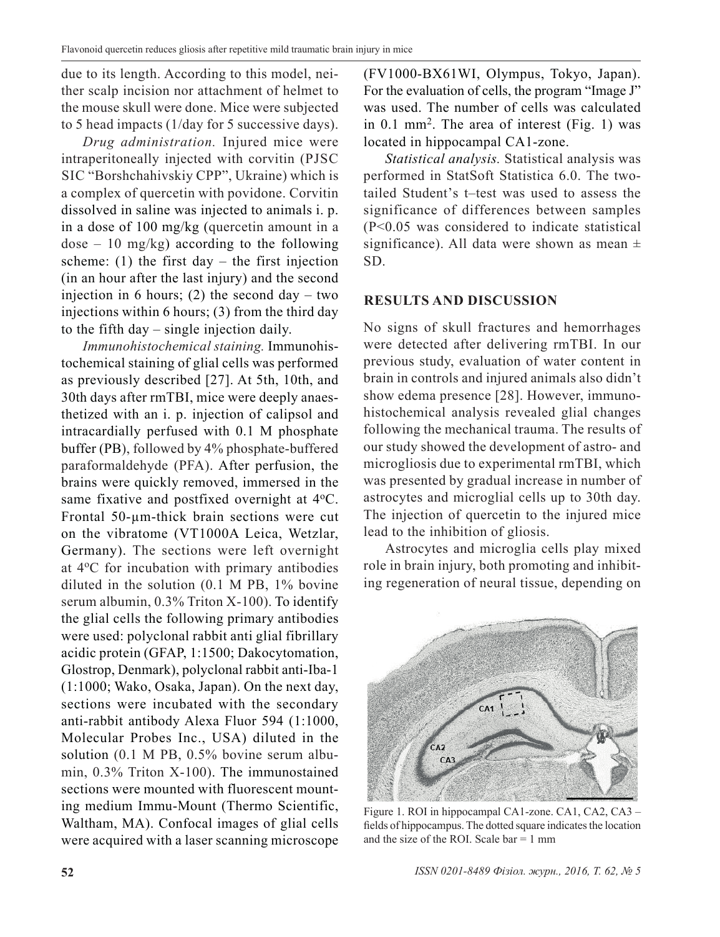due to its length. According to this model, neither scalp incision nor attachment of helmet to the mouse skull were done. Mice were subjected to 5 head impacts (1/day for 5 successive days).

*Drug administration.* Injured mice were intraperitoneally injected with corvitin (PJSC SIC "Borshchahivskiy CPP", Ukraine) which is a complex of quercetin with povidone. Corvitin dissolved in saline was injected to animals i. p. in a dose of 100 mg/kg (quercetin amount in a  $dose - 10$  mg/kg) according to the following scheme: (1) the first day – the first injection (in an hour after the last injury) and the second injection in 6 hours; (2) the second day – two injections within 6 hours; (3) from the third day to the fifth day – single injection daily.

*Immunohistochemical staining.* Immunohistochemical staining of glial cells was performed as previously described [27]. At 5th, 10th, and 30th days after rmTBI, mice were deeply anaesthetized with an i. p. injection of calipsol and intracardially perfused with 0.1 M phosphate buffer (PB), followed by 4% phosphate-buffered paraformaldehyde (PFA). After perfusion, the brains were quickly removed, immersed in the same fixative and postfixed overnight at 4°C. Frontal 50-µm-thick brain sections were cut on the vibratome (VT1000A Leica, Wetzlar, Germany). The sections were left overnight at 4oC for incubation with primary antibodies diluted in the solution (0.1 M PB, 1% bovine serum albumin, 0.3% Triton X-100). To identify the glial cells the following primary antibodies were used: polyclonal rabbit anti glial fibrillary acidic protein (GFAP, 1:1500; Dakocytomation, Glostrop, Denmark), polyclonal rabbit anti-Iba-1 (1:1000; Wako, Osaka, Japan). On the next day, sections were incubated with the secondary anti-rabbit antibody Alexa Fluor 594 (1:1000, Molecular Probes Inc., USA) diluted in the solution (0.1 M PB, 0.5% bovine serum albumin, 0.3% Triton X-100). The immunostained sections were mounted with fluorescent mounting medium Immu-Mount (Thermo Scientific, Waltham, MA). Confocal images of glial cells were acquired with a laser scanning microscope

(FV1000-BX61WI, Olympus, Tokyo, Japan). For the evaluation of cells, the program "Image J" was used. The number of cells was calculated in 0.1 mm2. The area of interest (Fig. 1) was located in hippocampal CA1-zone.

*Statistical analysis.* Statistical analysis was performed in StatSoft Statistica 6.0. The twotailed Student's t–test was used to assess the significance of differences between samples (P<0.05 was considered to indicate statistical significance). All data were shown as mean  $\pm$ SD.

# **RESULTS AND DISCUSSION**

No signs of skull fractures and hemorrhages were detected after delivering rmTBI. In our previous study, evaluation of water content in brain in controls and injured animals also didn't show edema presence [28]. However, immunohistochemical analysis revealed glial changes following the mechanical trauma. The results of our study showed the development of astro- and microgliosis due to experimental rmTBI, which was presented by gradual increase in number of astrocytes and microglial cells up to 30th day. The injection of quercetin to the injured mice lead to the inhibition of gliosis.

Astrocytes and microglia cells play mixed role in brain injury, both promoting and inhibiting regeneration of neural tissue, depending on



Figure 1. ROI in hippocampal CA1-zone. CA1, CA2, CA3 – fields of hippocampus. The dotted square indicates the location and the size of the ROI. Scale  $bar = 1$  mm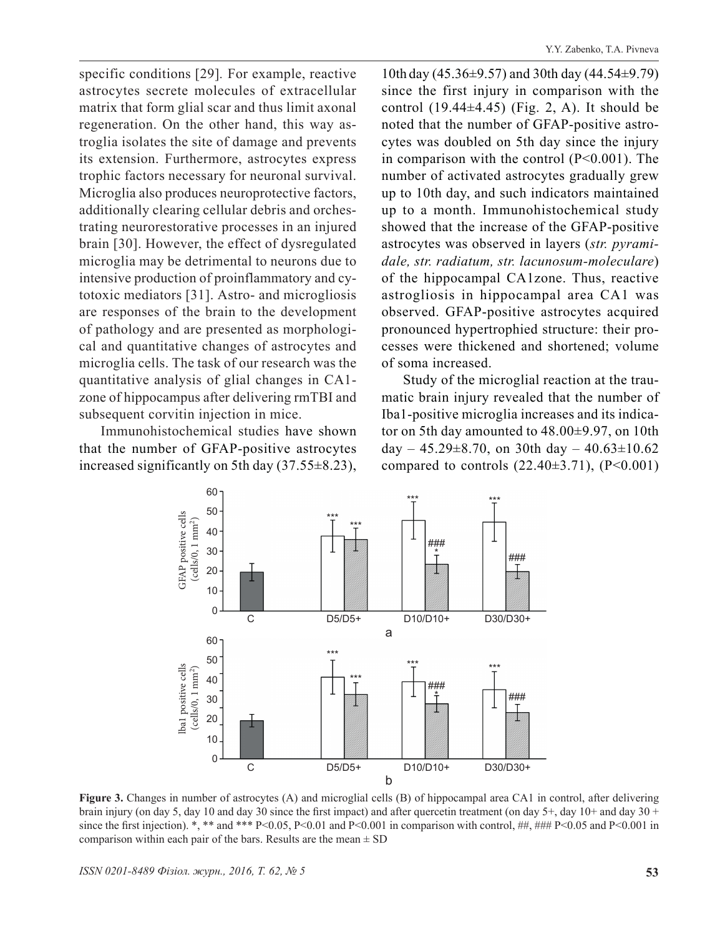Y.Y. Zabenko, T.A. Pivneva

specific conditions [29]*.* For example, reactive astrocytes secrete molecules of extracellular matrix that form glial scar and thus limit axonal regeneration. On the other hand, this way astroglia isolates the site of damage and prevents its extension. Furthermore, astrocytes express trophic factors necessary for neuronal survival. Microglia also produces neuroprotective factors, additionally clearing cellular debris and orchestrating neurorestorative processes in an injured brain [30]. However, the effect of dysregulated microglia may be detrimental to neurons due to intensive production of proinflammatory and cytotoxic mediators [31]. Astro- and microgliosis are responses of the brain to the development of pathology and are presented as morphological and quantitative changes of astrocytes and microglia cells. The task of our research was the quantitative analysis of glial changes in CA1 zone of hippocampus after delivering rmTBI and subsequent corvitin injection in mice.

Immunohistochemical studies have shown that the number of GFAP-positive astrocytes increased significantly on 5th day (37.55±8.23), 10th day (45.36±9.57) and 30th day (44.54±9.79) since the first injury in comparison with the control  $(19.44\pm4.45)$  (Fig. 2, A). It should be noted that the number of GFAP-positive astrocytes was doubled on 5th day since the injury in comparison with the control (P<0.001). The number of activated astrocytes gradually grew up to 10th day, and such indicators maintained up to a month. Immunohistochemical study showed that the increase of the GFAP-positive astrocytes was observed in layers (*str. pyramidale, str. radiatum, str. lacunosum-moleculare*) of the hippocampal CA1zone. Thus, reactive astrogliosis in hippocampal area CA1 was observed. GFAP-positive astrocytes acquired pronounced hypertrophied structure: their processes were thickened and shortened; volume of soma increased.

Study of the microglial reaction at the traumatic brain injury revealed that the number of Iba1-positive microglia increases and its indicator on 5th day amounted to 48.00±9.97, on 10th day –  $45.29 \pm 8.70$ , on 30th day –  $40.63 \pm 10.62$ compared to controls  $(22.40\pm3.71)$ ,  $(P<0.001)$ 



**Figure 3.** Changes in number of astrocytes (A) and microglial cells (B) of hippocampal area CA1 in control, after delivering brain injury (on day 5, day 10 and day 30 since the first impact) and after quercetin treatment (on day  $5+$ , day  $10+$  and day  $30+$ since the first injection). \*, \*\* and \*\*\* P<0.05, P<0.01 and P<0.001 in comparison with control, ##, ### P<0.05 and P<0.001 in comparison within each pair of the bars. Results are the mean  $\pm$  SD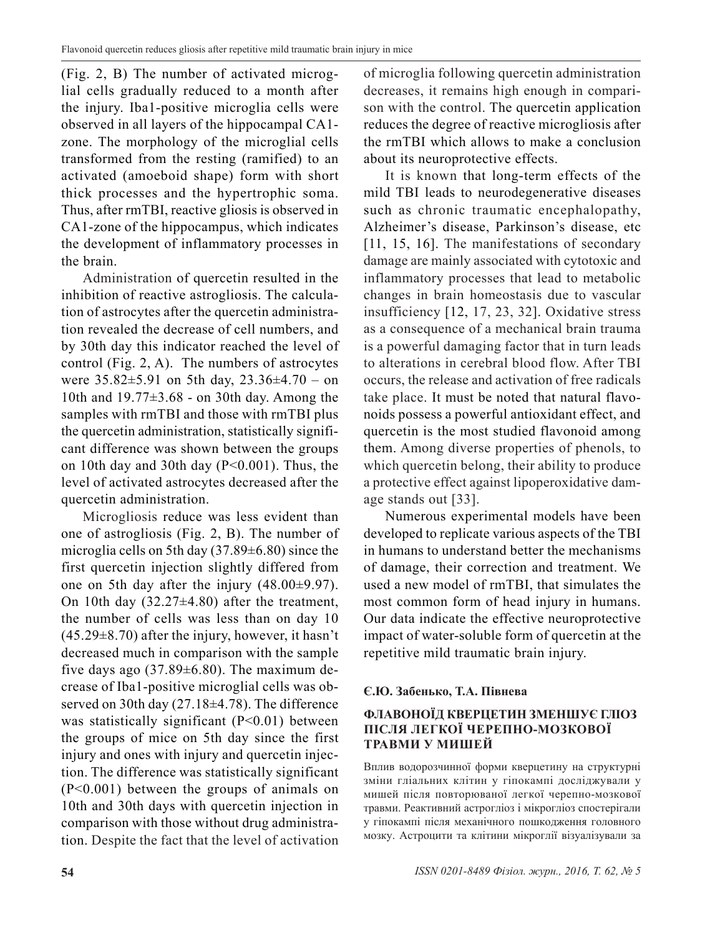(Fig. 2, B) The number of activated microglial cells gradually reduced to a month after the injury. Iba1-positive microglia cells were observed in all layers of the hippocampal CA1 zone. The morphology of the microglial cells transformed from the resting (ramified) to an activated (amoeboid shape) form with short thick processes and the hypertrophic soma. Thus, after rmTBI, reactive gliosis is observed in CA1-zone of the hippocampus, which indicates the development of inflammatory processes in the brain.

Administration of quercetin resulted in the inhibition of reactive astrogliosis. The calculation of astrocytes after the quercetin administration revealed the decrease of cell numbers, and by 30th day this indicator reached the level of control (Fig. 2, A). The numbers of astrocytes were  $35.82 \pm 5.91$  on 5th day,  $23.36 \pm 4.70$  – on 10th and 19.77±3.68 - on 30th day. Among the samples with rmTBI and those with rmTBI plus the quercetin administration, statistically significant difference was shown between the groups on 10th day and 30th day (P<0.001). Thus, the level of activated astrocytes decreased after the quercetin administration.

Microgliosis reduce was less evident than one of astrogliosis (Fig. 2, B). The number of microglia cells on 5th day (37.89±6.80) since the first quercetin injection slightly differed from one on 5th day after the injury (48.00±9.97). On 10th day  $(32.27\pm4.80)$  after the treatment, the number of cells was less than on day 10  $(45.29\pm8.70)$  after the injury, however, it hasn't decreased much in comparison with the sample five days ago  $(37.89\pm6.80)$ . The maximum decrease of Iba1-positive microglial cells was observed on 30th day (27.18±4.78). The difference was statistically significant (P<0.01) between the groups of mice on 5th day since the first injury and ones with injury and quercetin injection. The difference was statistically significant (P<0.001) between the groups of animals on 10th and 30th days with quercetin injection in comparison with those without drug administration. Despite the fact that the level of activation

of microglia following quercetin administration decreases, it remains high enough in comparison with the control. The quercetin application reduces the degree of reactive microgliosis after the rmTBI which allows to make a conclusion about its neuroprotective effects.

It is known that long-term effects of the mild TBI leads to neurodegenerative diseases such as chronic traumatic encephalopathy, Alzheimer's disease, Parkinson's disease, etc [11, 15, 16]. The manifestations of secondary damage are mainly associated with cytotoxic and inflammatory processes that lead to metabolic changes in brain homeostasis due to vascular insufficiency [12, 17, 23, 32]. Oxidative stress as a consequence of a mechanical brain trauma is a powerful damaging factor that in turn leads to alterations in cerebral blood flow. After TBI occurs, the release and activation of free radicals take place. It must be noted that natural flavonoids possess a powerful antioxidant effect, and quercetin is the most studied flavonoid among them. Among diverse properties of phenols, to which quercetin belong, their ability to produce a protective effect against lipoperoxidative damage stands out [33].

Numerous experimental models have been developed to replicate various aspects of the TBI in humans to understand better the mechanisms of damage, their correction and treatment. We used a new model of rmTBI, that simulates the most common form of head injury in humans. Our data indicate the effective neuroprotective impact of water-soluble form of quercetin at the repetitive mild traumatic brain injury.

# **Є.Ю. Забенько, Т.А. Півнева**

# **ФЛАВОНОЇД КВЕРЦЕТИН ЗМЕНШУЄ ГЛІОЗ ПІСЛЯ ЛЕГКОЇ ЧЕРЕПНО-МОЗКОВОЇ ТРАВМИ У МИШЕЙ**

Вплив водорозчинної форми кверцетину на структурні зміни гліальних клітин у гіпокампі досліджували у мишей після повторюваної легкої черепно-мозкової травми. Реактивний астрогліоз і мікрогліоз спостерігали у гіпокампі після механічного пошкодження головного мозку. Астроцити та клітини мікроглії візуалізували за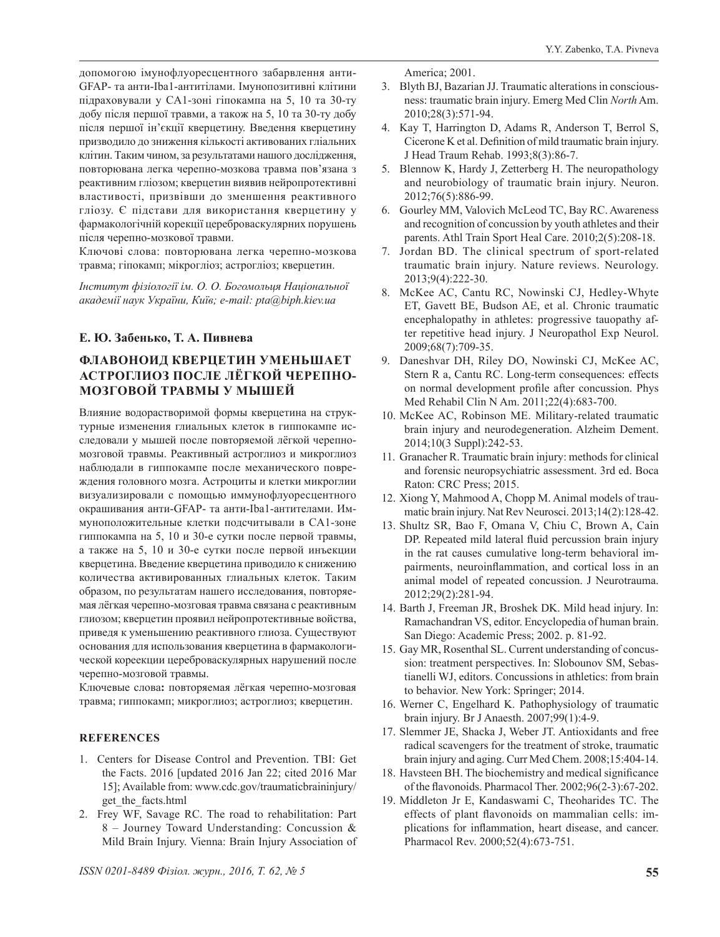допомогою імунофлуоресцентного забарвлення анти-GFAP- та анти-Iba1-антитілами. Імунопозитивні клітини підраховували у CA1-зоні гіпокампа на 5, 10 та 30-ту добу після першої травми, а також на 5, 10 та 30-ту добу після першої ін'єкції кверцетину. Введення кверцетину призводило до зниження кількості активованих гліальних клітин. Таким чином, за результатами нашого дослідження, повторювана легка черепно-мозкова травма пов'язана з реактивним гліозом; кверцетин виявив нейропротективні властивості, призвівши до зменшення реактивного гліозу. Є підстави для використання кверцетину у фармакологічній корекції цереброваскулярних порушень після черепно-мозкової травми.

Ключові слова: повторювана легка черепно-мозкова травма; гіпокамп; мікрогліоз; астрогліоз; кверцетин.

*Інститут фізіології ім. О. О. Богомольця Національної академії наук України, Київ; e-mail: pta@biph.kiev.ua*

#### **Е. Ю. Забенько, Т. А. Пивнева**

### **ФЛАВОНОИД КВЕРЦЕТИН УМЕНЬШАЕТ АСТРОГЛИОЗ ПОСЛЕ ЛЁГКОЙ ЧЕРЕПНО-МОЗГОВОЙ ТРАВМЫ У МЫШЕЙ**

Влияние водорастворимой формы кверцетина на структурные изменения глиальных клеток в гиппокампе исследовали у мышей после повторяемой лёгкой черепномозговой травмы. Реактивный астроглиоз и микроглиоз наблюдали в гиппокампе после механического повреждения головного мозга. Астроциты и клетки микроглии визуализировали с помощью иммунофлуоресцентного окрашивания анти-GFAP- та анти-Iba1-антителами. Иммуноположительные клетки подсчитывали в CA1-зоне гиппокампа на 5, 10 и 30-е сутки после первой травмы, а также на 5, 10 и 30-е сутки после первой инъекции кверцетина. Введение кверцетина приводило к снижению количества активированных глиальных клеток. Таким образом, по результатам нашего исследования, повторяемая лёгкая черепно-мозговая травма связана с реактивным глиозом; кверцетин проявил нейропротективные войства, приведя к уменьшению реактивного глиоза. Существуют основания для использования кверцетина в фармакологической кореекции цереброваскулярных нарушений после черепно-мозговой травмы.

Ключевые слова**:** повторяемая лёгкая черепно-мозговая травма; гиппокамп; микроглиоз; астроглиоз; кверцетин.

#### **REFERENCES**

- 1. Centers for Disease Control and Prevention. TBI: Get the Facts. 2016 [updated 2016 Jan 22; cited 2016 Mar 15]; Available from: www.cdc.gov/traumaticbraininjury/ get the facts.html
- 2. Frey WF, Savage RC. The road to rehabilitation: Part 8 – Journey Toward Understanding: Concussion & Mild Brain Injury. Vienna: Brain Injury Association of

America; 2001.

- 3. Blyth BJ, Bazarian JJ. Traumatic alterations in consciousness: traumatic brain injury. Emerg Med Clin *North* Am. 2010;28(3):571-94.
- 4. Kay T, Harrington D, Adams R, Anderson T, Berrol S, Cicerone K et al. Definition of mild traumatic brain injury. J Head Traum Rehab. 1993;8(3):86-7.
- 5. Blennow K, Hardy J, Zetterberg H. The neuropathology and neurobiology of traumatic brain injury. Neuron. 2012;76(5):886-99.
- 6. Gourley MM, Valovich McLeod TC, Bay RC. Awareness and recognition of concussion by youth athletes and their parents. Athl Train Sport Heal Care. 2010;2(5):208-18.
- 7. Jordan BD. The clinical spectrum of sport-related traumatic brain injury. Nature reviews. Neurology. 2013;9(4):222-30.
- 8. McKee AC, Cantu RC, Nowinski CJ, Hedley-Whyte ET, Gavett BE, Budson AE, et al. Chronic traumatic encephalopathy in athletes: progressive tauopathy after repetitive head injury. J Neuropathol Exp Neurol. 2009;68(7):709-35.
- 9. Daneshvar DH, Riley DO, Nowinski CJ, McKee AC, Stern R a, Cantu RC. Long-term consequences: effects on normal development profile after concussion. Phys Med Rehabil Clin N Am. 2011;22(4):683-700.
- 10. McKee AC, Robinson ME. Military-related traumatic brain injury and neurodegeneration. Alzheim Dement. 2014;10(3 Suppl):242-53.
- 11. Granacher R. Traumatic brain injury: methods for clinical and forensic neuropsychiatric assessment. 3rd ed. Boca Raton: CRC Press; 2015.
- 12. Xiong Y, Mahmood A, Chopp M. Animal models of traumatic brain injury. Nat Rev Neurosci. 2013;14(2):128-42.
- 13. Shultz SR, Bao F, Omana V, Chiu C, Brown A, Cain DP. Repeated mild lateral fluid percussion brain injury in the rat causes cumulative long-term behavioral impairments, neuroinflammation, and cortical loss in an animal model of repeated concussion. J Neurotrauma. 2012;29(2):281-94.
- 14. Barth J, Freeman JR, Broshek DK. Mild head injury. In: Ramachandran VS, editor. Encyclopedia of human brain. San Diego: Academic Press; 2002. p. 81-92.
- 15. Gay MR, Rosenthal SL. Current understanding of concussion: treatment perspectives. In: Slobounov SM, Sebastianelli WJ, editors. Concussions in athletics: from brain to behavior. New York: Springer; 2014.
- 16. Werner C, Engelhard K. Pathophysiology of traumatic brain injury. Br J Anaesth. 2007;99(1):4-9.
- 17. Slemmer JE, Shacka J, Weber JT. Antioxidants and free radical scavengers for the treatment of stroke, traumatic brain injury and aging. Curr Med Chem. 2008;15:404-14.
- 18. Havsteen BH. The biochemistry and medical significance of the flavonoids. Pharmacol Ther. 2002;96(2-3):67-202.
- 19. Middleton Jr E, Kandaswami C, Theoharides TC. The effects of plant flavonoids on mammalian cells: implications for inflammation, heart disease, and cancer. Pharmacol Rev. 2000;52(4):673-751.